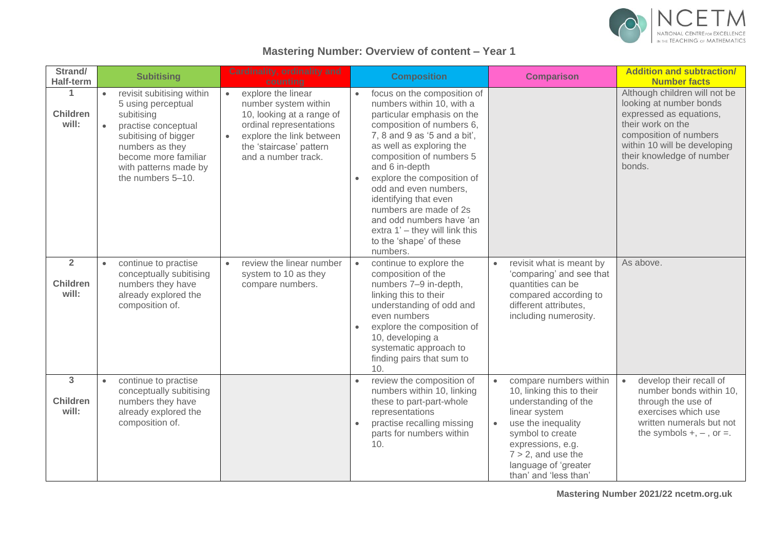

## **Mastering Number: Overview of content – Year 1**

| Strand/<br><b>Half-term</b>                | <b>Subitising</b>                                                                                                                                                                                                               | <b>Cardinality, ordinality and</b><br>counting                                                                                                                                                             | <b>Composition</b>                                                                                                                                                                                                                                                                                                                                                                                                                           | <b>Comparison</b>                                                                                                                                                                                                                                               | <b>Addition and subtraction/</b><br><b>Number facts</b>                                                                                                                                                   |
|--------------------------------------------|---------------------------------------------------------------------------------------------------------------------------------------------------------------------------------------------------------------------------------|------------------------------------------------------------------------------------------------------------------------------------------------------------------------------------------------------------|----------------------------------------------------------------------------------------------------------------------------------------------------------------------------------------------------------------------------------------------------------------------------------------------------------------------------------------------------------------------------------------------------------------------------------------------|-----------------------------------------------------------------------------------------------------------------------------------------------------------------------------------------------------------------------------------------------------------------|-----------------------------------------------------------------------------------------------------------------------------------------------------------------------------------------------------------|
| 1<br><b>Children</b><br>will:              | revisit subitising within<br>$\bullet$<br>5 using perceptual<br>subitising<br>practise conceptual<br>$\bullet$<br>subitising of bigger<br>numbers as they<br>become more familiar<br>with patterns made by<br>the numbers 5-10. | explore the linear<br>$\bullet$<br>number system within<br>10, looking at a range of<br>ordinal representations<br>explore the link between<br>$\bullet$<br>the 'staircase' pattern<br>and a number track. | focus on the composition of<br>numbers within 10, with a<br>particular emphasis on the<br>composition of numbers 6,<br>7, 8 and 9 as '5 and a bit',<br>as well as exploring the<br>composition of numbers 5<br>and 6 in-depth<br>explore the composition of<br>odd and even numbers,<br>identifying that even<br>numbers are made of 2s<br>and odd numbers have 'an<br>extra 1' - they will link this<br>to the 'shape' of these<br>numbers. |                                                                                                                                                                                                                                                                 | Although children will not be<br>looking at number bonds<br>expressed as equations,<br>their work on the<br>composition of numbers<br>within 10 will be developing<br>their knowledge of number<br>bonds. |
| $\overline{2}$<br><b>Children</b><br>will: | continue to practise<br>$\bullet$<br>conceptually subitising<br>numbers they have<br>already explored the<br>composition of.                                                                                                    | review the linear number<br>$\bullet$<br>system to 10 as they<br>compare numbers.                                                                                                                          | continue to explore the<br>$\bullet$<br>composition of the<br>numbers 7-9 in-depth,<br>linking this to their<br>understanding of odd and<br>even numbers<br>explore the composition of<br>10, developing a<br>systematic approach to<br>finding pairs that sum to<br>10.                                                                                                                                                                     | revisit what is meant by<br>$\bullet$<br>'comparing' and see that<br>quantities can be<br>compared according to<br>different attributes,<br>including numerosity.                                                                                               | As above.                                                                                                                                                                                                 |
| 3<br><b>Children</b><br>will:              | continue to practise<br>$\bullet$<br>conceptually subitising<br>numbers they have<br>already explored the<br>composition of.                                                                                                    |                                                                                                                                                                                                            | review the composition of<br>numbers within 10, linking<br>these to part-part-whole<br>representations<br>practise recalling missing<br>parts for numbers within<br>10.                                                                                                                                                                                                                                                                      | compare numbers within<br>$\bullet$<br>10, linking this to their<br>understanding of the<br>linear system<br>use the inequality<br>$\bullet$<br>symbol to create<br>expressions, e.g.<br>$7 > 2$ , and use the<br>language of 'greater<br>than' and 'less than' | develop their recall of<br>$\bullet$<br>number bonds within 10,<br>through the use of<br>exercises which use<br>written numerals but not<br>the symbols $+, -$ , or $=$ .                                 |

**Mastering Number 2021/22 ncetm.org.uk**